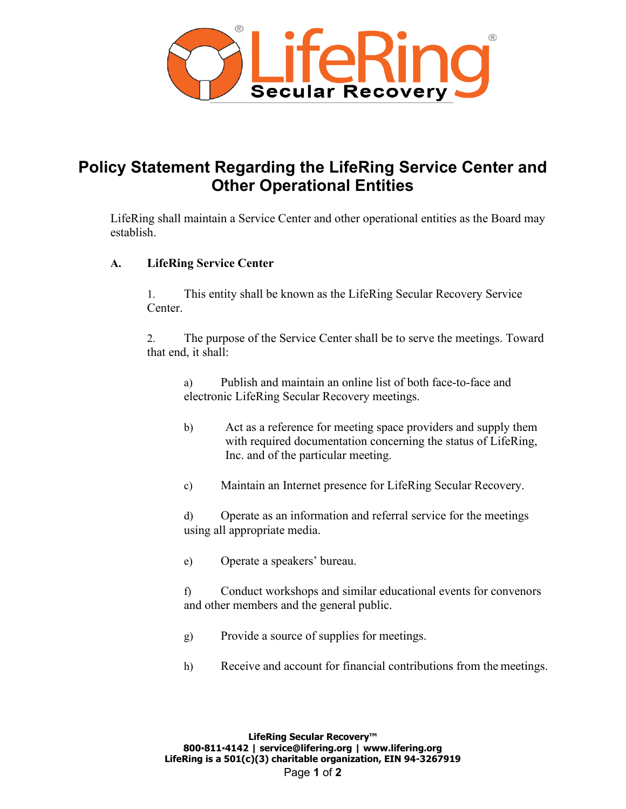

## **Policy Statement Regarding the LifeRing Service Center and Other Operational Entities**

LifeRing shall maintain a Service Center and other operational entities as the Board may establish.

## **A. LifeRing Service Center**

1. This entity shall be known as the LifeRing Secular Recovery Service Center.

2. The purpose of the Service Center shall be to serve the meetings. Toward that end, it shall:

a) Publish and maintain an online list of both face-to-face and electronic LifeRing Secular Recovery meetings.

- b) Act as a reference for meeting space providers and supply them with required documentation concerning the status of LifeRing, Inc. and of the particular meeting.
- c) Maintain an Internet presence for LifeRing Secular Recovery.

d) Operate as an information and referral service for the meetings using all appropriate media.

e) Operate a speakers' bureau.

f) Conduct workshops and similar educational events for convenors and other members and the general public.

- g) Provide a source of supplies for meetings.
- h) Receive and account for financial contributions from the meetings.